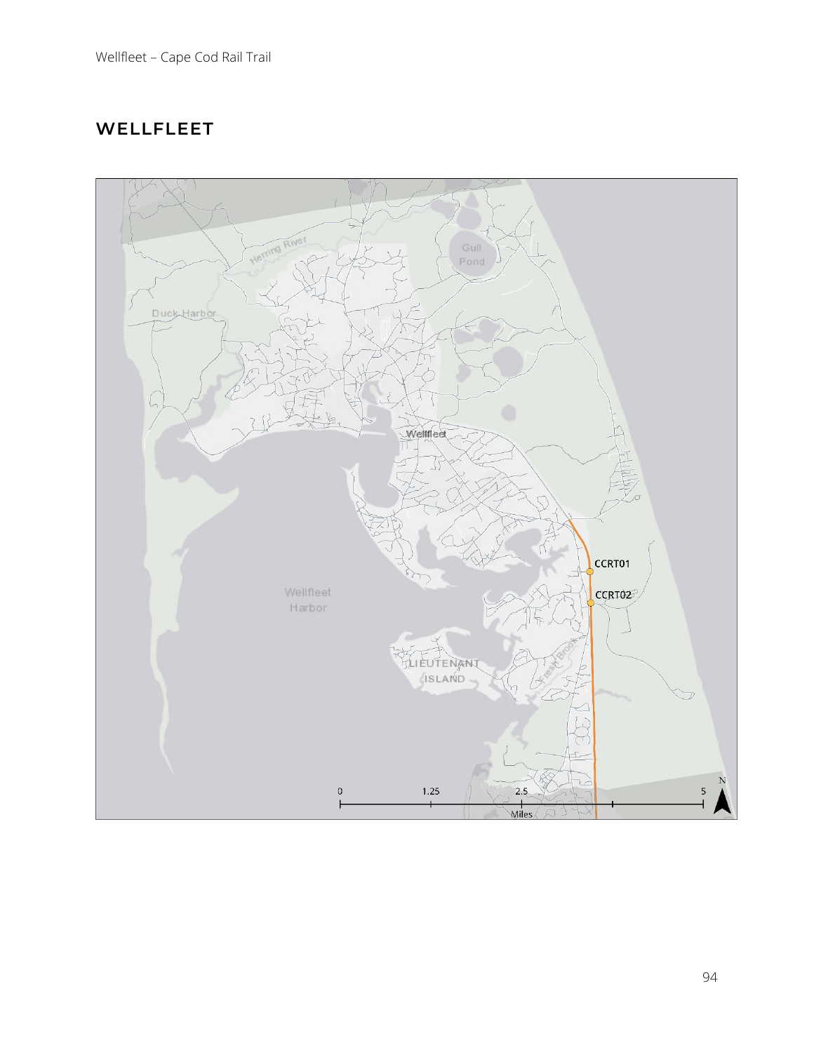# **WELLFLEET**

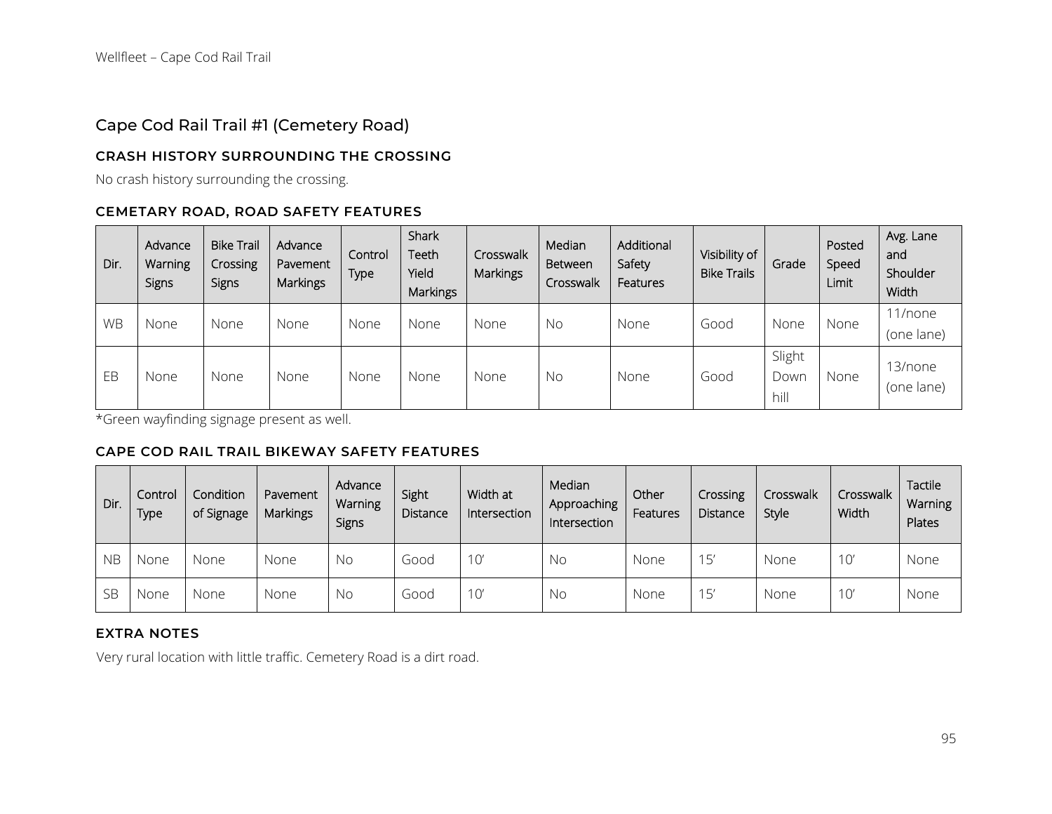## Cape Cod Rail Trail #1 (Cemetery Road)

### **CRASH HISTORY SURROUNDING THE CROSSING**

No crash history surrounding the crossing.

### **CEMETARY ROAD, ROAD SAFETY FEATURES**

| Dir.      | Advance<br>Warning<br>Signs | <b>Bike Trail</b><br>Crossing<br>Signs | Advance<br>Pavement<br><b>Markings</b> | Control<br>Type | Shark<br>Teeth<br>Yield<br><b>Markings</b> | Crosswalk<br>Markings | Median<br>Between<br>Crosswalk | Additional<br>Safety<br>Features | Visibility of<br><b>Bike Trails</b> | Grade                  | Posted<br>Speed<br>Limit | Avg. Lane<br>and<br>Shoulder<br>Width |
|-----------|-----------------------------|----------------------------------------|----------------------------------------|-----------------|--------------------------------------------|-----------------------|--------------------------------|----------------------------------|-------------------------------------|------------------------|--------------------------|---------------------------------------|
| <b>WB</b> | None                        | None                                   | None                                   | None            | None                                       | None                  | No                             | None                             | Good                                | None                   | None                     | 11/none<br>(one lane)                 |
| EB        | None                        | None                                   | None                                   | None            | None                                       | None                  | No                             | None                             | Good                                | Slight<br>Down<br>hill | None                     | 13/none<br>(one lane)                 |

\*Green wayfinding signage present as well.

#### **CAPE COD RAIL TRAIL BIKEWAY SAFETY FEATURES**

| Dir.      | Control<br>Type | Condition<br>of Signage | Pavement<br><b>Markings</b> | Advance<br><b>Warning</b><br>Signs | Sight<br>Distance | Width at<br>Intersection | Median<br>Approaching<br>Intersection | Other<br>Features | Crossing<br>Distance | Crosswalk<br>Style | Crosswalk<br>Width | Tactile<br>Warning<br>Plates |
|-----------|-----------------|-------------------------|-----------------------------|------------------------------------|-------------------|--------------------------|---------------------------------------|-------------------|----------------------|--------------------|--------------------|------------------------------|
| <b>NB</b> | None            | None                    | None                        | No                                 | Good              | $10^{\prime}$            | No.                                   | None              | 15'                  | None               | $10^{\circ}$       | None                         |
| <b>SB</b> | None            | None                    | None                        | No                                 | Good              | $10^{\circ}$             | No                                    | None              | 15'                  | None               | $10^{\circ}$       | None                         |

### **EXTRA NOTES**

Very rural location with little traffic. Cemetery Road is a dirt road.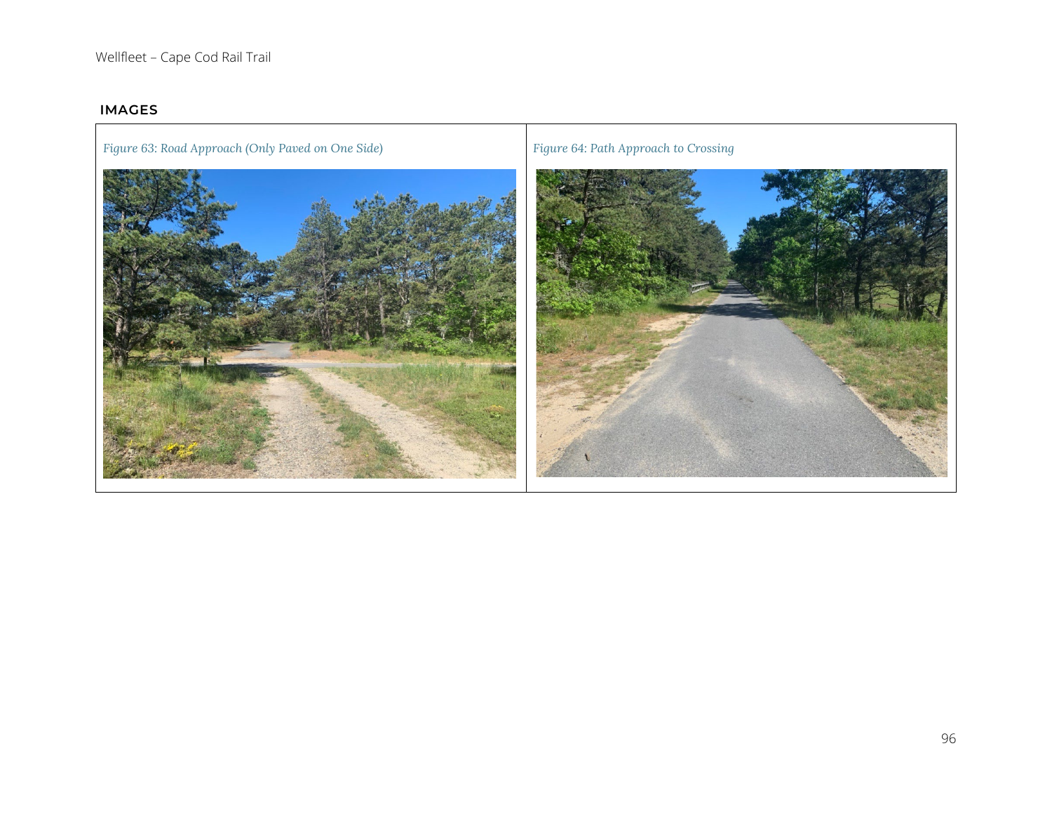### **IMAGES**

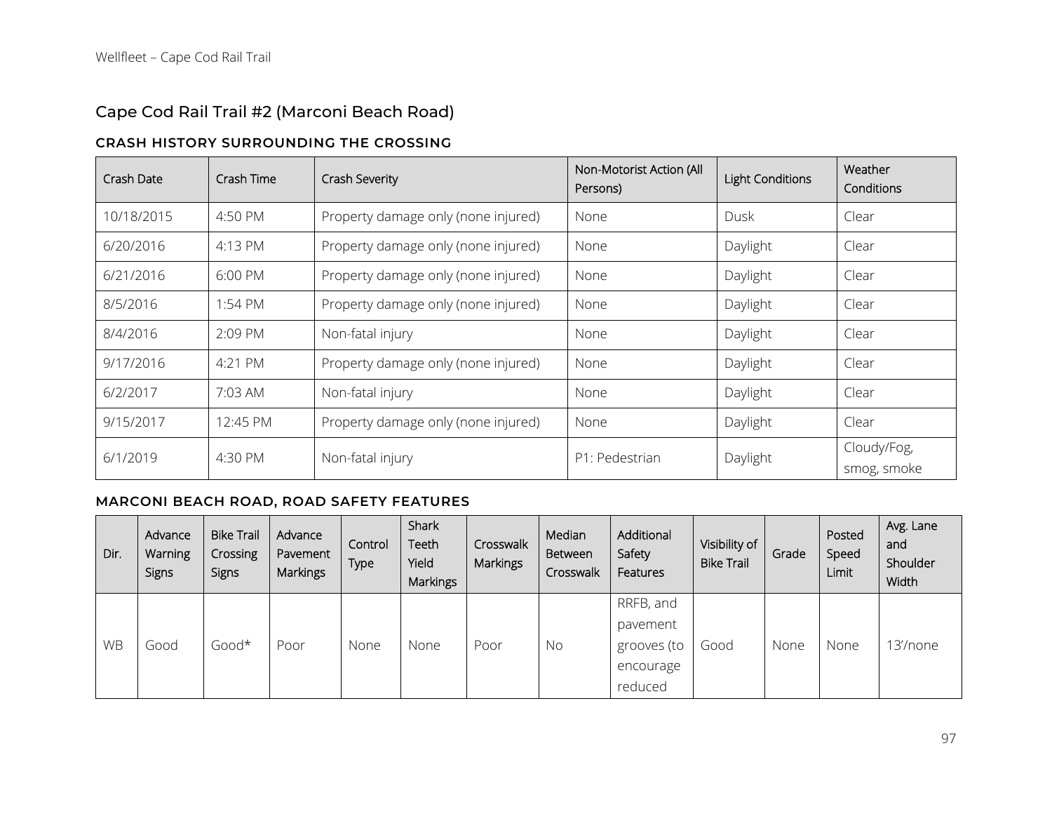# Cape Cod Rail Trail #2 (Marconi Beach Road)

### **CRASH HISTORY SURROUNDING THE CROSSING**

| Crash Date | Crash Time        | Crash Severity                      | Non-Motorist Action (All<br>Persons) | <b>Light Conditions</b> | Weather<br>Conditions      |
|------------|-------------------|-------------------------------------|--------------------------------------|-------------------------|----------------------------|
| 10/18/2015 | 4:50 PM           | Property damage only (none injured) | None                                 | Dusk                    | Clear                      |
| 6/20/2016  | 4:13 PM           | Property damage only (none injured) | None                                 | Daylight                | Clear                      |
| 6/21/2016  | $6:00 \text{ PM}$ | Property damage only (none injured) | None                                 | Daylight                | Clear                      |
| 8/5/2016   | 1:54 PM           | Property damage only (none injured) | None                                 | Daylight                | Clear                      |
| 8/4/2016   | 2:09 PM           | Non-fatal injury                    | None                                 | Daylight                | Clear                      |
| 9/17/2016  | 4:21 PM           | Property damage only (none injured) | None                                 | Daylight                | Clear                      |
| 6/2/2017   | 7:03 AM           | Non-fatal injury                    | None                                 | Daylight                | Clear                      |
| 9/15/2017  | 12:45 PM          | Property damage only (none injured) | None                                 | Daylight                | Clear                      |
| 6/1/2019   | 4:30 PM           | Non-fatal injury                    | P1: Pedestrian                       | Daylight                | Cloudy/Fog,<br>smog, smoke |

### **MARCONI BEACH ROAD, ROAD SAFETY FEATURES**

| Dir.      | Advance<br><b>Warning</b><br><b>Signs</b> | <b>Bike Trail</b><br>Crossing<br>Signs | Advance<br>Pavement<br>Markings | Control<br>Type | Shark<br>Teeth<br>Yield<br>Markings | Crosswalk<br>Markings | Median<br>Between<br>Crosswalk | Additional<br>Safety<br>Features | Visibility of<br><b>Bike Trail</b> | Grade | Posted<br>Speed<br>Limit | Avg. Lane<br>and<br>Shoulder<br>Width |
|-----------|-------------------------------------------|----------------------------------------|---------------------------------|-----------------|-------------------------------------|-----------------------|--------------------------------|----------------------------------|------------------------------------|-------|--------------------------|---------------------------------------|
|           |                                           |                                        |                                 |                 |                                     |                       |                                | RRFB, and                        |                                    |       |                          |                                       |
|           |                                           |                                        |                                 |                 |                                     |                       |                                | pavement                         |                                    |       |                          |                                       |
| <b>WB</b> | Good                                      | Good*                                  | Poor                            | None            | None                                | Poor                  | No                             | grooves (to                      | Good                               | None  | None                     | 13'/none                              |
|           |                                           |                                        |                                 |                 |                                     |                       |                                | encourage                        |                                    |       |                          |                                       |
|           |                                           |                                        |                                 |                 |                                     |                       |                                | reduced                          |                                    |       |                          |                                       |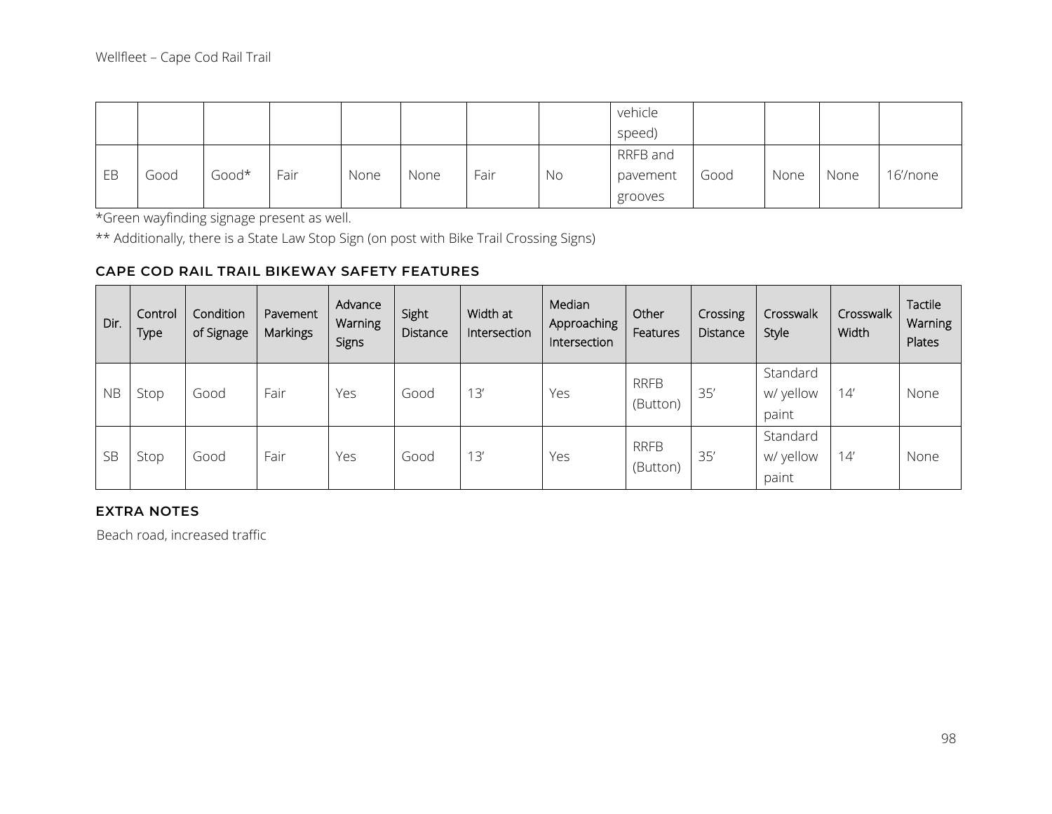|    |      |       |      |      |      |      |    | vehicle  |      |      |      |          |
|----|------|-------|------|------|------|------|----|----------|------|------|------|----------|
|    |      |       |      |      |      |      |    | speed)   |      |      |      |          |
|    |      |       |      |      |      |      |    | RRFB and |      |      |      |          |
| EB | Good | Good* | Fair | None | None | Fair | No | pavement | Good | None | None | 16'/none |
|    |      |       |      |      |      |      |    | grooves  |      |      |      |          |

\*Green wayfinding signage present as well.

\*\* Additionally, there is a State Law Stop Sign (on post with Bike Trail Crossing Signs)

### **CAPE COD RAIL TRAIL BIKEWAY SAFETY FEATURES**

| Dir.      | Control<br>Type | Condition<br>of Signage | Pavement<br><b>Markings</b> | Advance<br>Warning<br>Signs | Sight<br>Distance | Width at<br>Intersection | Median<br>Approaching<br>Intersection | Other<br>Features       | Crossing<br>Distance | Crosswalk<br>Style             | Crosswalk<br>Width | Tactile<br>Warning<br>Plates |
|-----------|-----------------|-------------------------|-----------------------------|-----------------------------|-------------------|--------------------------|---------------------------------------|-------------------------|----------------------|--------------------------------|--------------------|------------------------------|
| <b>NB</b> | Stop            | Good                    | Fair                        | Yes                         | Good              | 13'                      | Yes                                   | <b>RRFB</b><br>(Button) | 35'                  | Standard<br>w/ yellow<br>paint | 14'                | None                         |
| <b>SB</b> | Stop            | Good                    | Fair                        | Yes                         | Good              | 13'                      | Yes                                   | <b>RRFB</b><br>(Button) | 35'                  | Standard<br>w/ yellow<br>paint | 14'                | None                         |

### **EXTRA NOTES**

Beach road, increased traffic